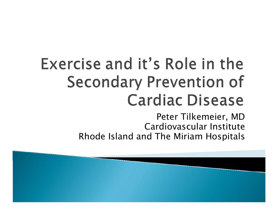# Exercise and it's Role in the **Secondary Prevention of Cardiac Disease**

Peter Tilkemeier, MD Cardiovascular InstituteRhode Island and The Miriam Hospitals

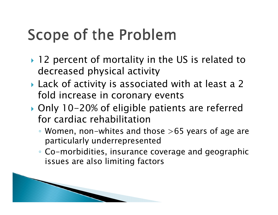## Scope of the Problem

- ▶ 12 percent of mortality in the US is related to decreased physical activity
- Lack of activity is associated with at least a 2 fold increase in coronary events
- ▶ Only 10-20% of eligible patients are referred for cardiac rehabilitation
	- Women, non-whites and those >65 years of age are particularly underrepresented
	- Co-morbidities, insurance coverage and geographic issues are also limiting factors

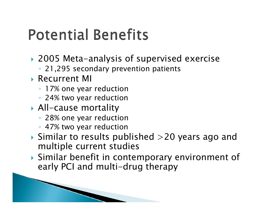#### **Potential Benefits**

- 2005 Meta-analysis of supervised exercise
	- 21,295 secondary prevention patients
- $\blacktriangleright$  Recurrent MI
	- 17% one year reduction
	- 24% two year reduction
- All-cause mortality
	- 28% one year reduction
	- 47% two year reduction

The Company of the Company of

- $\blacktriangleright$  Similar to results published  $>$  20 years ago and multiple current studies
- Similar benefit in contemporary environment of early PCI and multi-drug therapy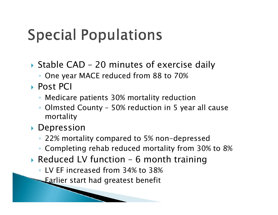## **Special Populations**

- ▶ Stable CAD 20 minutes of exercise daily
	- One year MACE reduced from 88 to 70%
- ▶ Post PCI
	- Medicare patients 30% mortality reduction
	- Olmsted County 50% reduction in 5 year all cause mortality
- Depression
	- 22% mortality compared to 5% non-depressed
	- Completing rehab reduced mortality from 30% to 8%
- Reduced LV function 6 month training
	- LV EF increased from 34% to 38%
	- ◦Earlier start had greatest benefit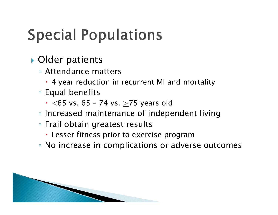# **Special Populations**

- ▶ Older patients
	- Attendance matters
		- 4 year reduction in recurrent MI and mortality
	- Equal benefits
		- $\boldsymbol{\cdot}$   $<$ 65 vs. 65 74 vs.  $\geq$ 75 years old
	- Increased maintenance of independent living
	- Frail obtain greatest results
		- Lesser fitness prior to exercise program
	- No increase in complications or adverse outcomes

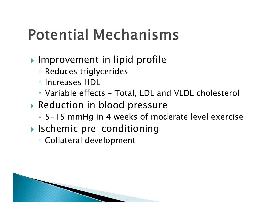## **Potential Mechanisms**

- **Improvement in lipid profile** 
	- Reduces triglycerides
	- Increases HDL
	- Variable effects Total, LDL and VLDL cholesterol
- Reduction in blood pressure
	- 5-15 mmHg in 4 weeks of moderate level exercise
- Ischemic pre-conditioning
	- Collateral development

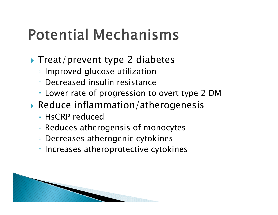#### **Potential Mechanisms**

- ▶ Treat/prevent type 2 diabetes
	- Improved glucose utilization
	- ◦Decreased insulin resistance
	- Lower rate of progression to overt type 2 DM
- Reduce inflammation/atherogenesis
	- HsCRP reduced
	- Reduces atherogensis of monocytes
	- Decreases atherogenic cytokines
	- Increases atheroprotective cytokines

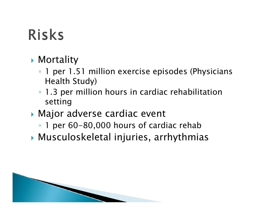# **Risks**

- Mortality
	- 1 per 1.51 million exercise episodes (Physicians Health Study)
	- 1.3 per million hours in cardiac rehabilitation setting
- Major adverse cardiac event
	- 1 per 60-80,000 hours of cardiac rehab
- Musculoskeletal injuries, arrhythmias

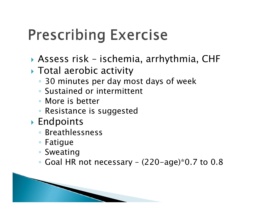## **Prescribing Exercise**

- Assess risk ischemia, arrhythmia, CHF
- Total aerobic activity
	- 30 minutes per day most days of week
	- Sustained or intermittent
	- More is better
	- Resistance is suggested
- Endpoints
	- Breathlessness
	- Fatigue
	- Sweating
	- Goal HR not necessary (220-age)\*0.7 to 0.8

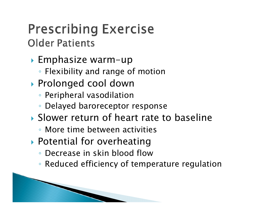#### **Prescribing Exercise Older Patients**

- Emphasize warm-up
	- Flexibility and range of motion
- Prolonged cool down
	- Peripheral vasodilation
	- Delayed baroreceptor response
- Slower return of heart rate to baseline
	- More time between activities
- Potential for overheating

and the contract of the contract of

- Decrease in skin blood flow
- Reduced efficiency of temperature regulation